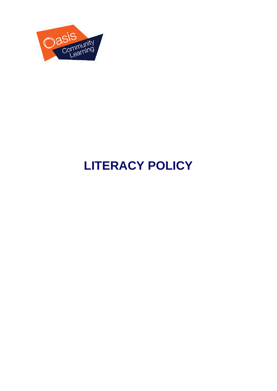

## **LITERACY POLICY**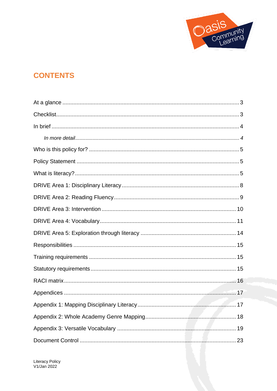

## **CONTENTS**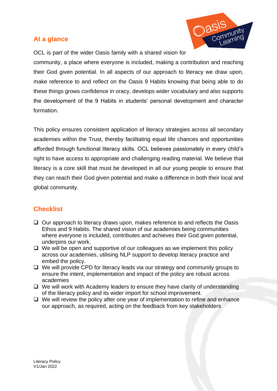#### <span id="page-2-0"></span>**At a glance**



OCL is part of the wider Oasis family with a shared vision for community, a place where everyone is included, making a contribution and reaching their God given potential. In all aspects of our approach to literacy we draw upon, make reference to and reflect on the Oasis 9 Habits knowing that being able to do these things grows confidence in oracy, develops wider vocabulary and also supports the development of the 9 Habits in students' personal development and character formation.

This policy ensures consistent application of literacy strategies across all secondary academies within the Trust, thereby facilitating equal life chances and opportunities afforded through functional literacy skills. OCL believes passionately in every child's right to have access to appropriate and challenging reading material. We believe that literacy is a core skill that must be developed in all our young people to ensure that they can reach their God given potential and make a difference in both their local and global community.

## <span id="page-2-1"></span>**Checklist**

- ❑ Our approach to literacy draws upon, makes reference to and reflects the Oasis Ethos and 9 Habits. The shared vision of our academies being communities where everyone is included, contributes and achieves their God given potential, underpins our work.
- ❑ We will be open and supportive of our colleagues as we implement this policy across our academies, utilising NLP support to develop literacy practice and embed the policy.
- ❑ We will provide CPD for literacy leads via our strategy and community groups to ensure the intent, implementation and impact of the policy are robust across academies
- ❑ We will work with Academy leaders to ensure they have clarity of understanding of the literacy policy and its wider import for school improvement.
- ❑ We will review the policy after one year of implementation to refine and enhance our approach, as required, acting on the feedback from key stakeholders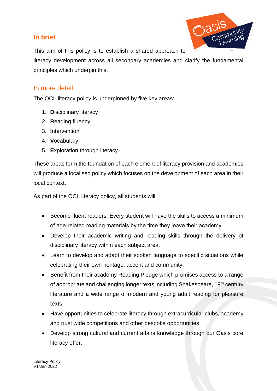## <span id="page-3-0"></span>**In brief**



This aim of this policy is to establish a shared approach to

literacy development across all secondary academies and clarify the fundamental principles which underpin this.

#### <span id="page-3-1"></span>In more detail

The OCL literacy policy is underpinned by five key areas:

- 1. **D**isciplinary literacy
- 2. **R**eading fluency
- 3. **I**ntervention
- 4. **V**ocabulary
- 5. **E**xploration through literacy

These areas form the foundation of each element of literacy provision and academies will produce a localised policy which focuses on the development of each area in their local context.

As part of the OCL literacy policy, all students will:

- Become fluent readers. Every student will have the skills to access a minimum of age-related reading materials by the time they leave their academy.
- Develop their academic writing and reading skills through the delivery of disciplinary literacy within each subject area.
- Learn to develop and adapt their spoken language to specific situations while celebrating their own heritage, accent and community.
- Benefit from their academy Reading Pledge which promises access to a range of appropriate and challenging longer texts including Shakespeare, 19<sup>th</sup> century literature and a wide range of modern and young adult reading for pleasure texts
- Have opportunities to celebrate literacy through extracurricular clubs, academy and trust wide competitions and other bespoke opportunities
- Develop strong cultural and current affairs knowledge through our Oasis core literacy offer.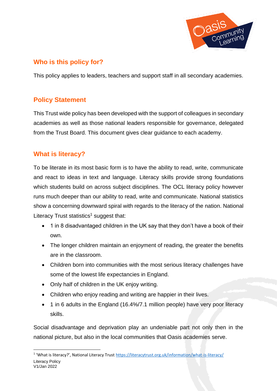

## <span id="page-4-0"></span>**Who is this policy for?**

This policy applies to leaders, teachers and support staff in all secondary academies.

## <span id="page-4-1"></span>**Policy Statement**

This Trust wide policy has been developed with the support of colleagues in secondary academies as well as those national leaders responsible for governance, delegated from the Trust Board. This document gives clear guidance to each academy.

## <span id="page-4-2"></span>**What is literacy?**

To be literate in its most basic form is to have the ability to read, write, communicate and react to ideas in text and language. Literacy skills provide strong foundations which students build on across subject disciplines. The OCL literacy policy however runs much deeper than our ability to read, write and communicate. National statistics show a concerning downward spiral with regards to the literacy of the nation. National Literacy Trust statistics<sup>1</sup> suggest that:

- 1 in 8 disadvantaged children in the UK say that they don't have a book of their own.
- The longer children maintain an enjoyment of reading, the greater the benefits are in the classroom.
- Children born into communities with the most serious literacy challenges have some of the lowest life expectancies in England.
- Only half of children in the UK enjoy writing.
- Children who enjoy reading and writing are happier in their lives.
- 1 in 6 adults in the England (16.4%/7.1 million people) have very poor literacy skills.

Social disadvantage and deprivation play an undeniable part not only then in the national picture, but also in the local communities that Oasis academies serve.

Literacy Policy <sup>1</sup> 'What is literacy?', National Literacy Trust <https://literacytrust.org.uk/information/what-is-literacy/>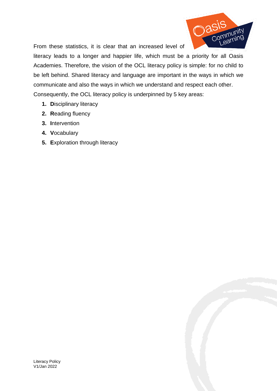

From these statistics, it is clear that an increased level of

literacy leads to a longer and happier life, which must be a priority for all Oasis Academies. Therefore, the vision of the OCL literacy policy is simple: for no child to be left behind. Shared literacy and language are important in the ways in which we communicate and also the ways in which we understand and respect each other. Consequently, the OCL literacy policy is underpinned by 5 key areas:

- **1. D**isciplinary literacy
- **2. R**eading fluency
- **3. I**ntervention
- **4. V**ocabulary
- **5. E**xploration through literacy

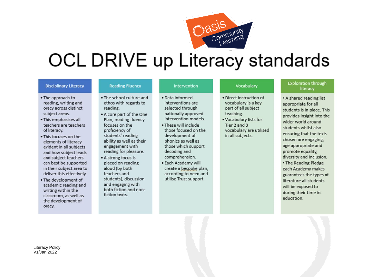

# **OCL DRIVE up Literacy standards**

#### **Disciplinary Literacy**

reading, writing and

oracy across distinct

. This emphasises all

. This focuses on the

elements of literacy

evident in all subjects

and how subject leads

can best be supported

in their subject area to

deliver this effectively.

academic reading and

classroom, as well as

the development of

. The development of

writing within the

and subject teachers

teachers are teachers

. The approach to

subject areas.

of literacy.

#### **Reading Fluency**

- . The school culture and ethos with regards to reading.
	- . A core part of the One Plan, reading fluency focuses on the proficiency of students' reading ability as well as their engagement with reading for pleasure.
	- A strong focus is placed on reading aloud (by both teachers and students), discussion and engaging with both fiction and nonfiction texts.

#### Intervention

- · Data informed interventions are selected through nationally approved intervention models
- . These will include those focused on the development of phonics as well as those which support decoding and comprehension.
- · Each Academy will create a bespoke plan, according to need and utilise Trust support.

#### Vocabulary

- · Direct instruction of vocabulary is a key part of all subject teaching.
- . Vocabulary lists for Tier 2 and 3 vocabulary are utilised in all subjects.

#### **Exploration through** literacy

. A shared reading list appropriate for all students is in place. This provides insight into the wider world around students whilst also ensuring that the texts chosen are engaging, age appropriate and promote equality, diversity and inclusion. • The Reading Pledge each Academy makes guarantees the types of literature all students will be exposed to during their time in education.

Literacy Policy V1/Jan 2022

oracy.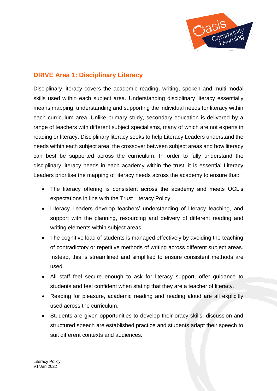

## <span id="page-7-0"></span>**DRIVE Area 1: Disciplinary Literacy**

Disciplinary literacy covers the academic reading, writing, spoken and multi-modal skills used within each subject area. Understanding disciplinary literacy essentially means mapping, understanding and supporting the individual needs for literacy within each curriculum area. Unlike primary study, secondary education is delivered by a range of teachers with different subject specialisms, many of which are not experts in reading or literacy. Disciplinary literacy seeks to help Literacy Leaders understand the needs within each subject area, the crossover between subject areas and how literacy can best be supported across the curriculum. In order to fully understand the disciplinary literacy needs in each academy within the trust, it is essential Literacy Leaders prioritise the mapping of literacy needs across the academy to ensure that:

- The literacy offering is consistent across the academy and meets OCL's expectations in line with the Trust Literacy Policy.
- Literacy Leaders develop teachers' understanding of literacy teaching, and support with the planning, resourcing and delivery of different reading and writing elements within subject areas.
- The cognitive load of students is managed effectively by avoiding the teaching of contradictory or repetitive methods of writing across different subject areas. Instead, this is streamlined and simplified to ensure consistent methods are used.
- All staff feel secure enough to ask for literacy support, offer guidance to students and feel confident when stating that they are a teacher of literacy.
- Reading for pleasure, academic reading and reading aloud are all explicitly used across the curriculum.
- Students are given opportunities to develop their oracy skills; discussion and structured speech are established practice and students adapt their speech to suit different contexts and audiences.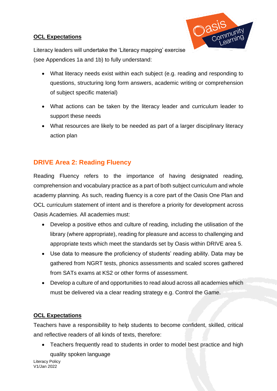#### **OCL Expectations**



Literacy leaders will undertake the 'Literacy mapping' exercise (see Appendices 1a and 1b) to fully understand:

- What literacy needs exist within each subject (e.g. reading and responding to questions, structuring long form answers, academic writing or comprehension of subject specific material)
- What actions can be taken by the literacy leader and curriculum leader to support these needs
- What resources are likely to be needed as part of a larger disciplinary literacy action plan

## <span id="page-8-0"></span>**DRIVE Area 2: Reading Fluency**

Reading Fluency refers to the importance of having designated reading, comprehension and vocabulary practice as a part of both subject curriculum and whole academy planning. As such, reading fluency is a core part of the Oasis One Plan and OCL curriculum statement of intent and is therefore a priority for development across Oasis Academies. All academies must:

- Develop a positive ethos and culture of reading, including the utilisation of the library (where appropriate), reading for pleasure and access to challenging and appropriate texts which meet the standards set by Oasis within DRIVE area 5.
- Use data to measure the proficiency of students' reading ability. Data may be gathered from NGRT tests, phonics assessments and scaled scores gathered from SATs exams at KS2 or other forms of assessment.
- Develop a culture of and opportunities to read aloud across all academies which must be delivered via a clear reading strategy e.g. Control the Game.

#### **OCL Expectations**

Teachers have a responsibility to help students to become confident, skilled, critical and reflective readers of all kinds of texts, therefore:

• Teachers frequently read to students in order to model best practice and high quality spoken language

Literacy Policy V1/Jan 2022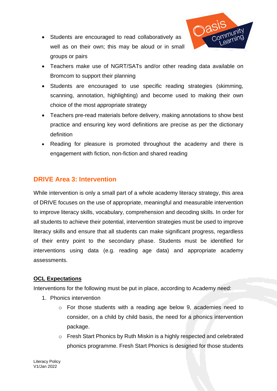

- Students are encouraged to read collaboratively as well as on their own; this may be aloud or in small groups or pairs
- Teachers make use of NGRT/SATs and/or other reading data available on Bromcom to support their planning
- Students are encouraged to use specific reading strategies (skimming, scanning, annotation, highlighting) and become used to making their own choice of the most appropriate strategy
- Teachers pre-read materials before delivery, making annotations to show best practice and ensuring key word definitions are precise as per the dictionary definition
- Reading for pleasure is promoted throughout the academy and there is engagement with fiction, non-fiction and shared reading

## <span id="page-9-0"></span>**DRIVE Area 3: Intervention**

While intervention is only a small part of a whole academy literacy strategy, this area of DRIVE focuses on the use of appropriate, meaningful and measurable intervention to improve literacy skills, vocabulary, comprehension and decoding skills. In order for all students to achieve their potential, intervention strategies must be used to improve literacy skills and ensure that all students can make significant progress, regardless of their entry point to the secondary phase. Students must be identified for interventions using data (e.g. reading age data) and appropriate academy assessments.

#### **OCL Expectations**

Interventions for the following must be put in place, according to Academy need:

- 1. Phonics intervention
	- o For those students with a reading age below 9, academies need to consider, on a child by child basis, the need for a phonics intervention package.
	- o Fresh Start Phonics by Ruth Miskin is a highly respected and celebrated phonics programme. Fresh Start Phonics is designed for those students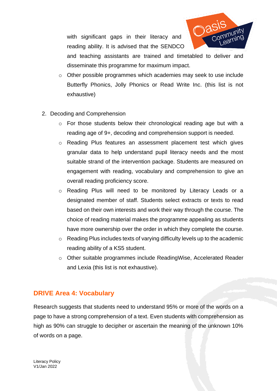with significant gaps in their literacy and reading ability. It is advised that the SENDCO



and teaching assistants are trained and timetabled to deliver and disseminate this programme for maximum impact.

- o Other possible programmes which academies may seek to use include Butterfly Phonics, Jolly Phonics or Read Write Inc. (this list is not exhaustive)
- 2. Decoding and Comprehension
	- o For those students below their chronological reading age but with a reading age of 9+, decoding and comprehension support is needed.
	- o Reading Plus features an assessment placement test which gives granular data to help understand pupil literacy needs and the most suitable strand of the intervention package. Students are measured on engagement with reading, vocabulary and comprehension to give an overall reading proficiency score.
	- o Reading Plus will need to be monitored by Literacy Leads or a designated member of staff. Students select extracts or texts to read based on their own interests and work their way through the course. The choice of reading material makes the programme appealing as students have more ownership over the order in which they complete the course.
	- o Reading Plus includes texts of varying difficulty levels up to the academic reading ability of a KS5 student.
	- o Other suitable programmes include ReadingWise, Accelerated Reader and Lexia (this list is not exhaustive).

## <span id="page-10-0"></span>**DRIVE Area 4: Vocabulary**

Research suggests that students need to understand 95% or more of the words on a page to have a strong comprehension of a text. Even students with comprehension as high as 90% can struggle to decipher or ascertain the meaning of the unknown 10% of words on a page.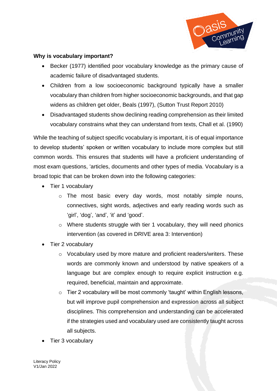

#### **Why is vocabulary important?**

- Becker (1977) identified poor vocabulary knowledge as the primary cause of academic failure of disadvantaged students.
- Children from a low socioeconomic background typically have a smaller vocabulary than children from higher socioeconomic backgrounds, and that gap widens as children get older, Beals (1997), (Sutton Trust Report 2010)
- Disadvantaged students show declining reading comprehension as their limited vocabulary constrains what they can understand from texts, Chall et al. (1990)

While the teaching of subject specific vocabulary is important, it is of equal importance to develop students' spoken or written vocabulary to include more complex but still common words. This ensures that students will have a proficient understanding of most exam questions, 'articles, documents and other types of media. Vocabulary is a broad topic that can be broken down into the following categories:

- Tier 1 vocabulary
	- o The most basic every day words, most notably simple nouns, connectives, sight words, adjectives and early reading words such as 'girl', 'dog', 'and', 'it' and 'good'.
	- o Where students struggle with tier 1 vocabulary, they will need phonics intervention (as covered in DRIVE area 3: Intervention)
- Tier 2 vocabulary
	- o Vocabulary used by more mature and proficient readers/writers. These words are commonly known and understood by native speakers of a language but are complex enough to require explicit instruction e.g. required, beneficial, maintain and approximate.
	- o Tier 2 vocabulary will be most commonly 'taught' within English lessons, but will improve pupil comprehension and expression across all subject disciplines. This comprehension and understanding can be accelerated if the strategies used and vocabulary used are consistently taught across all subjects.
- Tier 3 vocabulary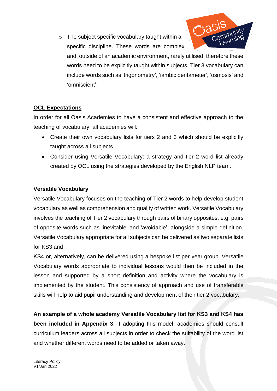o The subject specific vocabulary taught within a specific discipline. These words are complex



and, outside of an academic environment, rarely utilised, therefore these words need to be explicitly taught within subjects. Tier 3 vocabulary can include words such as 'trigonometry', 'iambic pentameter', 'osmosis' and 'omniscient'.

## **OCL Expectations**

In order for all Oasis Academies to have a consistent and effective approach to the teaching of vocabulary, all academies will:

- Create their own vocabulary lists for tiers 2 and 3 which should be explicitly taught across all subjects
- Consider using Versatile Vocabulary: a strategy and tier 2 word list already created by OCL using the strategies developed by the English NLP team.

#### **Versatile Vocabulary**

Versatile Vocabulary focuses on the teaching of Tier 2 words to help develop student vocabulary as well as comprehension and quality of written work. Versatile Vocabulary involves the teaching of Tier 2 vocabulary through pairs of binary opposites, e.g. pairs of opposite words such as 'inevitable' and 'avoidable', alongside a simple definition. Versatile Vocabulary appropriate for all subjects can be delivered as two separate lists for KS3 and

KS4 or, alternatively, can be delivered using a bespoke list per year group. Versatile Vocabulary words appropriate to individual lessons would then be included in the lesson and supported by a short definition and activity where the vocabulary is implemented by the student. This consistency of approach and use of transferable skills will help to aid pupil understanding and development of their tier 2 vocabulary.

**An example of a whole academy Versatile Vocabulary list for KS3 and KS4 has been included in Appendix 3**. If adopting this model, academies should consult curriculum leaders across all subjects in order to check the suitability of the word list and whether different words need to be added or taken away.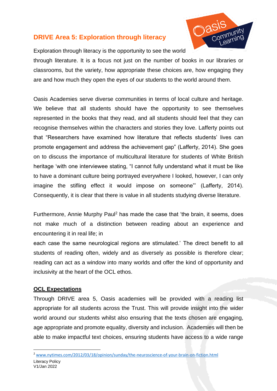## <span id="page-13-0"></span>**DRIVE Area 5: Exploration through literacy**



Exploration through literacy is the opportunity to see the world through literature. It is a focus not just on the number of books in our libraries or classrooms, but the variety, how appropriate these choices are, how engaging they

are and how much they open the eyes of our students to the world around them.

Oasis Academies serve diverse communities in terms of local culture and heritage. We believe that all students should have the opportunity to see themselves represented in the books that they read, and all students should feel that they can recognise themselves within the characters and stories they love. Lafferty points out that "Researchers have examined how literature that reflects students' lives can promote engagement and address the achievement gap" (Lafferty, 2014). She goes on to discuss the importance of multicultural literature for students of White British heritage 'with one interviewee stating, "I cannot fully understand what it must be like to have a dominant culture being portrayed everywhere I looked, however, I can only imagine the stifling effect it would impose on someone"' (Lafferty, 2014). Consequently, it is clear that there is value in all students studying diverse literature.

Furthermore, Annie Murphy Paul<sup>2</sup> has made the case that 'the brain, it seems, does not make much of a distinction between reading about an experience and encountering it in real life; in

each case the same neurological regions are stimulated.' The direct benefit to all students of reading often, widely and as diversely as possible is therefore clear; reading can act as a window into many worlds and offer the kind of opportunity and inclusivity at the heart of the OCL ethos.

#### **OCL Expectations**

Through DRIVE area 5, Oasis academies will be provided with a reading list appropriate for all students across the Trust. This will provide insight into the wider world around our students whilst also ensuring that the texts chosen are engaging, age appropriate and promote equality, diversity and inclusion. Academies will then be able to make impactful text choices, ensuring students have access to a wide range

<sup>2</sup> [www.nytimes.com/2012/03/18/opinion/sunday/the-neuroscience-of-your-brain-on-fiction.html](http://www.nytimes.com/2012/03/18/opinion/sunday/the-neuroscience-of-your-brain-on-fiction.html)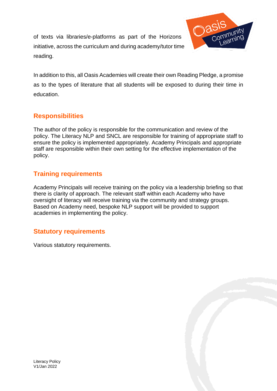of texts via libraries/e-platforms as part of the Horizons initiative, across the curriculum and during academy/tutor time reading.



In addition to this, all Oasis Academies will create their own Reading Pledge, a promise as to the types of literature that all students will be exposed to during their time in education.

## <span id="page-14-0"></span>**Responsibilities**

The author of the policy is responsible for the communication and review of the policy. The Literacy NLP and SNCL are responsible for training of appropriate staff to ensure the policy is implemented appropriately. Academy Principals and appropriate staff are responsible within their own setting for the effective implementation of the policy.

## <span id="page-14-1"></span>**Training requirements**

Academy Principals will receive training on the policy via a leadership briefing so that there is clarity of approach. The relevant staff within each Academy who have oversight of literacy will receive training via the community and strategy groups. Based on Academy need, bespoke NLP support will be provided to support academies in implementing the policy.

## <span id="page-14-2"></span>**Statutory requirements**

Various statutory requirements.

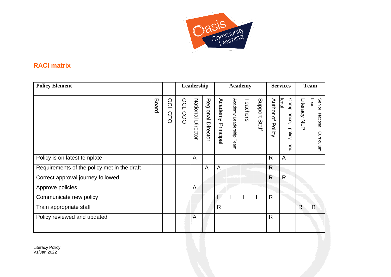

## **RACI matrix**

<span id="page-15-0"></span>

| <b>Policy Element</b>                       |       |                                        |                   | Leadership        |                      |                          |                            | <b>Academy</b> |                  |                            | <b>Services</b>                       |                           | <b>Team</b>                              |
|---------------------------------------------|-------|----------------------------------------|-------------------|-------------------|----------------------|--------------------------|----------------------------|----------------|------------------|----------------------------|---------------------------------------|---------------------------|------------------------------------------|
|                                             | Board | OC<br>$\blacksquare$<br>ဂ္ဂ<br>$\circ$ | <b>DCL</b><br>COO | National Director | Regional<br>Director | <b>Academy Principal</b> | Academy Leadership<br>Team | Teachers       | Support<br>Staff | Author of<br><b>Policy</b> | legal<br>Compliance,<br>policy<br>and | Literacy<br>$\leq$<br>᠊᠊ᠭ | Senior<br>Lead<br>National<br>Curriculum |
| Policy is on latest template                |       |                                        |                   | A                 |                      |                          |                            |                |                  | $\mathsf{R}$               | $\mathsf{A}$                          |                           |                                          |
| Requirements of the policy met in the draft |       |                                        |                   |                   | A                    | A                        |                            |                |                  | $\mathsf{R}$               |                                       |                           |                                          |
| Correct approval journey followed           |       |                                        |                   |                   |                      |                          |                            |                |                  | $\mathsf{R}$               | $\mathsf{R}$                          |                           |                                          |
| Approve policies                            |       |                                        |                   | $\mathsf{A}$      |                      |                          |                            |                |                  |                            |                                       |                           |                                          |
| Communicate new policy                      |       |                                        |                   |                   |                      |                          |                            |                |                  | $\mathsf{R}$               |                                       |                           |                                          |
| Train appropriate staff                     |       |                                        |                   |                   |                      | R                        |                            |                |                  |                            |                                       | $\mathsf{R}$              | R                                        |
| Policy reviewed and updated                 |       |                                        |                   | A                 |                      |                          |                            |                |                  | R.                         |                                       |                           |                                          |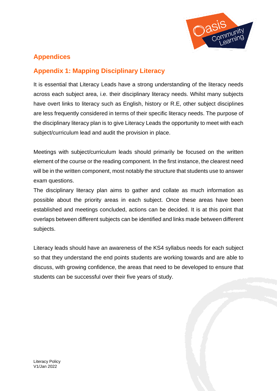

## <span id="page-16-0"></span>**Appendices**

## <span id="page-16-1"></span>**Appendix 1: Mapping Disciplinary Literacy**

It is essential that Literacy Leads have a strong understanding of the literacy needs across each subject area, i.e. their disciplinary literacy needs. Whilst many subjects have overt links to literacy such as English, history or R.E, other subject disciplines are less frequently considered in terms of their specific literacy needs. The purpose of the disciplinary literacy plan is to give Literacy Leads the opportunity to meet with each subject/curriculum lead and audit the provision in place.

Meetings with subject/curriculum leads should primarily be focused on the written element of the course or the reading component. In the first instance, the clearest need will be in the written component, most notably the structure that students use to answer exam questions.

The disciplinary literacy plan aims to gather and collate as much information as possible about the priority areas in each subject. Once these areas have been established and meetings concluded, actions can be decided. It is at this point that overlaps between different subjects can be identified and links made between different subjects.

Literacy leads should have an awareness of the KS4 syllabus needs for each subject so that they understand the end points students are working towards and are able to discuss, with growing confidence, the areas that need to be developed to ensure that students can be successful over their five years of study.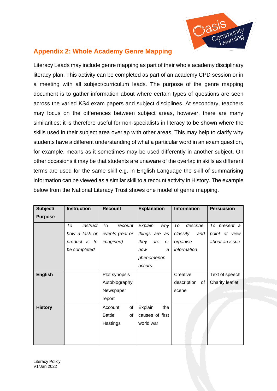

## <span id="page-17-0"></span>**Appendix 2: Whole Academy Genre Mapping**

Literacy Leads may include genre mapping as part of their whole academy disciplinary literacy plan. This activity can be completed as part of an academy CPD session or in a meeting with all subject/curriculum leads. The purpose of the genre mapping document is to gather information about where certain types of questions are seen across the varied KS4 exam papers and subject disciplines. At secondary, teachers may focus on the differences between subject areas, however, there are many similarities; it is therefore useful for non-specialists in literacy to be shown where the skills used in their subject area overlap with other areas. This may help to clarify why students have a different understanding of what a particular word in an exam question, for example, means as it sometimes may be used differently in another subject. On other occasions it may be that students are unaware of the overlap in skills as different terms are used for the same skill e.g. in English Language the skill of summarising information can be viewed as a similar skill to a recount activity in History. The example below from the National Literacy Trust shows one model of genre mapping.

| Subject/       | <b>Instruction</b> | <b>Recount</b>      | <b>Explanation</b>       | <b>Information</b> | <b>Persuasion</b> |
|----------------|--------------------|---------------------|--------------------------|--------------------|-------------------|
| <b>Purpose</b> |                    |                     |                          |                    |                   |
|                | To<br>instruct     | To<br>recount       | Explain<br>why           | describe,<br>To    | To present a      |
|                | how a task or      | events (real or     | things are as            | classify<br>and    | point of view     |
|                | product is to      | <i>imagined</i> )   | they<br>are<br><b>or</b> | organise           | about an issue    |
|                | be completed       |                     | how<br>a                 | information        |                   |
|                |                    |                     | phenomenon               |                    |                   |
|                |                    |                     | occurs.                  |                    |                   |
| <b>English</b> |                    | Plot synopsis       |                          | Creative           | Text of speech    |
|                |                    | Autobiography       |                          | description<br>of  | Charity leaflet   |
|                |                    | Newspaper           |                          | scene              |                   |
|                |                    | report              |                          |                    |                   |
| <b>History</b> |                    | of<br>Account       | Explain<br>the           |                    |                   |
|                |                    | <b>Battle</b><br>of | causes of first          |                    |                   |
|                |                    | Hastings            | world war                |                    |                   |
|                |                    |                     |                          |                    |                   |
|                |                    |                     |                          |                    |                   |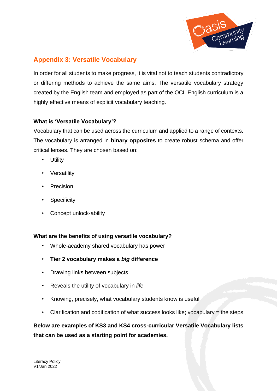

## <span id="page-18-0"></span>**Appendix 3: Versatile Vocabulary**

In order for all students to make progress, it is vital not to teach students contradictory or differing methods to achieve the same aims. The versatile vocabulary strategy created by the English team and employed as part of the OCL English curriculum is a highly effective means of explicit vocabulary teaching.

#### **What is 'Versatile Vocabulary'?**

Vocabulary that can be used across the curriculum and applied to a range of contexts. The vocabulary is arranged in **binary opposites** to create robust schema and offer critical lenses. They are chosen based on:

- Utility
- Versatility
- **Precision**
- **Specificity**
- Concept unlock-ability

#### **What are the benefits of using versatile vocabulary?**

- Whole-academy shared vocabulary has power
- **Tier 2 vocabulary makes a** *big* **difference**
- Drawing links between subjects
- Reveals the utility of vocabulary in *life*
- Knowing, precisely, what vocabulary students know is useful
- Clarification and codification of what success looks like; vocabulary = the steps

## **Below are examples of KS3 and KS4 cross-curricular Versatile Vocabulary lists that can be used as a starting point for academies.**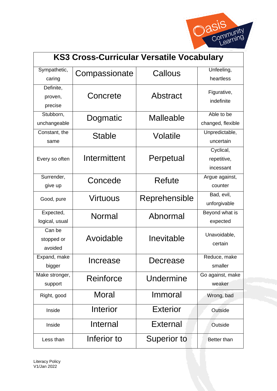

| <b>KS3 Cross-Curricular Versatile Vocabulary</b> |               |                    |                                       |  |  |  |  |
|--------------------------------------------------|---------------|--------------------|---------------------------------------|--|--|--|--|
| Sympathetic,<br>caring                           | Compassionate | Callous            | Unfeeling,<br>heartless               |  |  |  |  |
| Definite,<br>proven,<br>precise                  | Concrete      | Abstract           | Figurative,<br>indefinite             |  |  |  |  |
| Stubborn,<br>unchangeable                        | Dogmatic      | Malleable          | Able to be<br>changed, flexible       |  |  |  |  |
| Constant, the<br>same                            | Stable        | Volatile           | Unpredictable,<br>uncertain           |  |  |  |  |
| Every so often                                   | Intermittent  | Perpetual          | Cyclical,<br>repetitive,<br>incessant |  |  |  |  |
| Surrender,<br>give up                            | Concede       | Refute             | Argue against,<br>counter             |  |  |  |  |
| Good, pure                                       | Virtuous      | Reprehensible      | Bad, evil,<br>unforgivable            |  |  |  |  |
| Expected,<br>logical, usual                      | Normal        | Abnormal           | Beyond what is<br>expected            |  |  |  |  |
| Can be<br>stopped or<br>avoided                  | Avoidable     | Inevitable         | Unavoidable,<br>certain               |  |  |  |  |
| Expand, make<br>bigger                           | Increase      | Decrease           | Reduce, make<br>smaller               |  |  |  |  |
| Make stronger,<br>support                        | Reinforce     | Undermine          | Go against, make<br>weaker            |  |  |  |  |
| Right, good                                      | Moral         | Immoral            | Wrong, bad                            |  |  |  |  |
| Inside                                           | Interior      | <b>Exterior</b>    | Outside                               |  |  |  |  |
| Inside                                           | Internal      | External           | Outside                               |  |  |  |  |
| Less than                                        | Inferior to   | <b>Superior to</b> | <b>Better than</b>                    |  |  |  |  |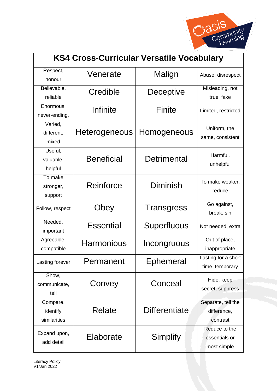![](_page_20_Picture_0.jpeg)

| <b>KS4 Cross-Curricular Versatile Vocabulary</b> |                       |                      |                     |  |  |  |  |
|--------------------------------------------------|-----------------------|----------------------|---------------------|--|--|--|--|
| Respect,                                         | Venerate              | Malign               | Abuse, disrespect   |  |  |  |  |
| honour                                           |                       |                      |                     |  |  |  |  |
| Believable,                                      | Credible              | Deceptive            | Misleading, not     |  |  |  |  |
| reliable                                         |                       |                      | true, fake          |  |  |  |  |
| Enormous,                                        | Infinite              | Finite               | Limited, restricted |  |  |  |  |
| never-ending,                                    |                       |                      |                     |  |  |  |  |
| Varied,                                          |                       |                      | Uniform, the        |  |  |  |  |
| different,                                       | <b>Heterogeneous</b>  | Homogeneous          | same, consistent    |  |  |  |  |
| mixed                                            |                       |                      |                     |  |  |  |  |
| Useful,                                          |                       |                      | Harmful,            |  |  |  |  |
| valuable,                                        | <b>Beneficial</b>     | Detrimental          | unhelpful           |  |  |  |  |
| helpful                                          |                       |                      |                     |  |  |  |  |
| To make                                          |                       |                      | To make weaker,     |  |  |  |  |
| stronger,                                        | Diminish<br>Reinforce |                      | reduce              |  |  |  |  |
| support                                          |                       |                      |                     |  |  |  |  |
| Follow, respect                                  | Obey                  | <b>Transgress</b>    | Go against,         |  |  |  |  |
|                                                  |                       |                      | break, sin          |  |  |  |  |
| Needed,                                          | <b>Essential</b>      | Superfluous          | Not needed, extra   |  |  |  |  |
| important                                        |                       |                      |                     |  |  |  |  |
| Agreeable,                                       | <b>Harmonious</b>     | Incongruous          | Out of place,       |  |  |  |  |
| compatible                                       |                       |                      | inappropriate       |  |  |  |  |
| Lasting forever                                  | Permanent             | Ephemeral            | Lasting for a short |  |  |  |  |
|                                                  |                       |                      | time, temporary     |  |  |  |  |
| Show,                                            |                       |                      | Hide, keep          |  |  |  |  |
| communicate,                                     | Convey                | Conceal              | secret, suppress    |  |  |  |  |
| tell                                             |                       |                      |                     |  |  |  |  |
| Compare,                                         |                       |                      | Separate, tell the  |  |  |  |  |
| identify                                         | Relate                | <b>Differentiate</b> | difference,         |  |  |  |  |
| similarities                                     |                       |                      | contrast            |  |  |  |  |
| Expand upon,                                     |                       |                      | Reduce to the       |  |  |  |  |
| add detail                                       | Elaborate             | Simplify             | essentials or       |  |  |  |  |
|                                                  |                       |                      | most simple         |  |  |  |  |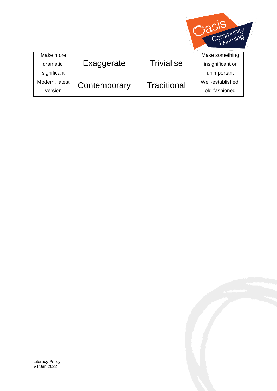![](_page_21_Picture_0.jpeg)

| Make more      |              |                    | Make something    |
|----------------|--------------|--------------------|-------------------|
| dramatic,      | Exaggerate   | Trivialise         | insignificant or  |
| significant    |              |                    | unimportant       |
| Modern, latest | Contemporary | <b>Traditional</b> | Well-established, |
| version        |              |                    | old-fashioned     |

![](_page_21_Picture_3.jpeg)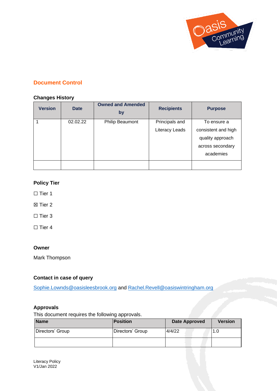![](_page_22_Picture_0.jpeg)

#### <span id="page-22-0"></span>**Document Control**

#### **Changes History**

| <b>Version</b> | <b>Date</b> | <b>Owned and Amended</b><br>by | <b>Recipients</b> | <b>Purpose</b>      |
|----------------|-------------|--------------------------------|-------------------|---------------------|
|                | 02.02.22    | <b>Philip Beaumont</b>         | Principals and    | To ensure a         |
|                |             |                                | Literacy Leads    | consistent and high |
|                |             |                                |                   | quality approach    |
|                |             |                                |                   | across secondary    |
|                |             |                                |                   | academies           |
|                |             |                                |                   |                     |

#### **Policy Tier**

□ Tier 1

☒ Tier 2

□ Tier 3

 $\Box$  Tier 4

#### **Owner**

Mark Thompson

#### **Contact in case of query**

[Sophie.Lownds@oasisleesbrook.org](mailto:Sophie.Lownds@oasisleesbrook.org) and [Rachel.Revell@oasiswintringham.org](mailto:Rachel.Revell@oasiswintringham.org)

#### **Approvals**

This document requires the following approvals.

| <b>Name</b>      | <b>Position</b>  | <b>Date Approved</b> | <b>Version</b> |
|------------------|------------------|----------------------|----------------|
| Directors' Group | Directors' Group | 4/4/22               | 1.0            |
|                  |                  |                      |                |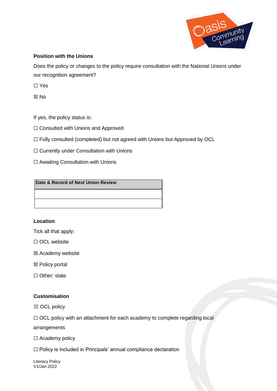![](_page_23_Picture_0.jpeg)

#### **Position with the Unions**

Does the policy or changes to the policy require consultation with the National Unions under our recognition agreement?

☐ Yes

☒ No

If yes, the policy status is:

☐ Consulted with Unions and Approved

☐ Fully consulted (completed) but not agreed with Unions but Approved by OCL

☐ Currently under Consultation with Unions

□ Awaiting Consultation with Unions

#### **Date & Record of Next Union Review**

#### **Location**

Tick all that apply:

☐ OCL website

☒ Academy website

- ☒ Policy portal
- □ Other: state

#### **Customisation**

☒ OCL policy

□ OCL policy with an attachment for each academy to complete regarding local

arrangements

□ Academy policy

☐ Policy is included in Principals' annual compliance declaration

Literacy Policy V1/Jan 2022